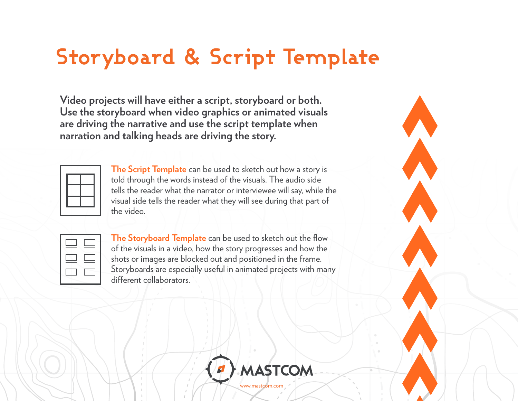## **Storyboard & Script Template**

**Video projects will have either a script, storyboard or both. Use the storyboard when video graphics or animated visuals are driving the narrative and use the script template when narration and talking heads are driving the story.**

**The Script Template** can be used to sketch out how a story is told through the words instead of the visuals. The audio side tells the reader what the narrator or interviewee will say, while the visual side tells the reader what they will see during that part of the video.

| _____<br>____ |  |
|---------------|--|
| __<br>۰.      |  |

**The Storyboard Template** can be used to sketch out the flow of the visuals in a video, how the story progresses and how the shots or images are blocked out and positioned in the frame. Storyboards are especially useful in animated projects with many different collaborators.

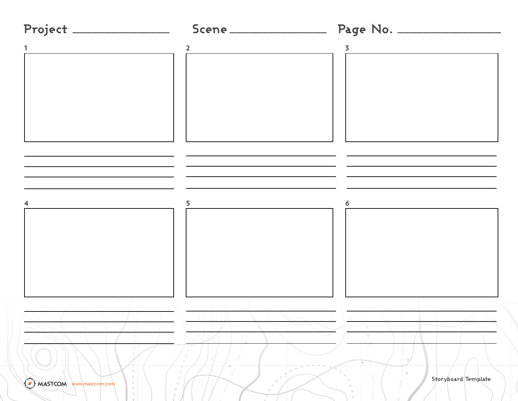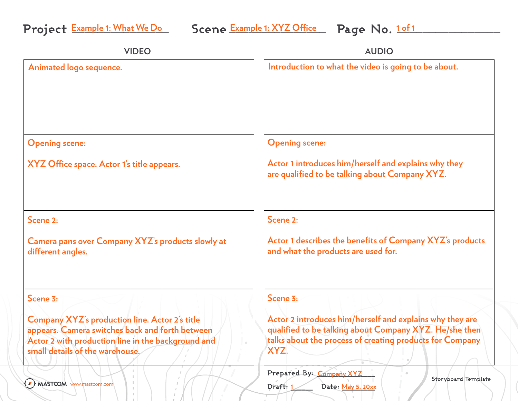| <b>VIDEO</b>                                                                                                                                                                                      | <b>AUDIO</b>                                                                                                                                                                           |
|---------------------------------------------------------------------------------------------------------------------------------------------------------------------------------------------------|----------------------------------------------------------------------------------------------------------------------------------------------------------------------------------------|
| Animated logo sequence.                                                                                                                                                                           | Introduction to what the video is going to be about.                                                                                                                                   |
| <b>Opening scene:</b>                                                                                                                                                                             | <b>Opening scene:</b>                                                                                                                                                                  |
| XYZ Office space. Actor 1's title appears.                                                                                                                                                        | Actor 1 introduces him/herself and explains why they<br>are qualified to be talking about Company XYZ.                                                                                 |
| Scene 2:                                                                                                                                                                                          | Scene 2:                                                                                                                                                                               |
| Camera pans over Company XYZ's products slowly at<br>different angles.                                                                                                                            | Actor 1 describes the benefits of Company XYZ's products<br>and what the products are used for.                                                                                        |
| Scene 3:                                                                                                                                                                                          | Scene 3:                                                                                                                                                                               |
| <b>Company XYZ's production line. Actor 2's title</b><br>appears. Camera switches back and forth between<br>Actor 2 with production line in the background and<br>small details of the warehouse. | Actor 2 introduces him/herself and explains why they are<br>qualified to be talking about Company XYZ. He/she then<br>talks about the process of creating products for Company<br>XYZ. |
| A MASTCOM www.mastcom.com                                                                                                                                                                         | Prepared By: Company XYZ<br>Storyboard Template<br>Draft: 1<br>Date: May 5, 20xx                                                                                                       |